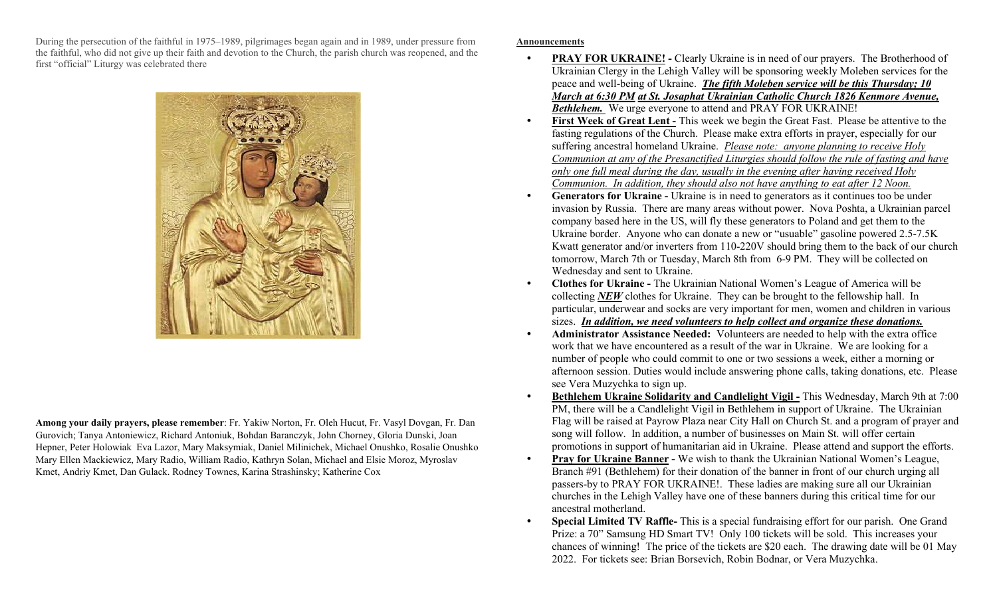During the persecution of the faithful in 1975–1989, pilgrimages began again and in 1989, under pressure from the faithful, who did not give up their faith and devotion to the Church, the parish church was reopened, and the first "official" Liturgy was celebrated there



Among your daily prayers, please remember: Fr. Yakiw Norton, Fr. Oleh Hucut, Fr. Vasyl Dovgan, Fr. Dan Gurovich; Tanya Antoniewicz, Richard Antoniuk, Bohdan Baranczyk, John Chorney, Gloria Dunski, Joan Hepner, Peter Holowiak Eva Lazor, Mary Maksymiak, Daniel Milinichek, Michael Onushko, Rosalie Onushko Mary Ellen Mackiewicz, Mary Radio, William Radio, Kathryn Solan, Michael and Elsie Moroz, Myroslav Kmet, Andriy Kmet, Dan Gulack. Rodney Townes, Karina Strashinsky; Katherine Cox

## Announcements

- **PRAY FOR UKRAINE!** Clearly Ukraine is in need of our prayers. The Brotherhood of Ukrainian Clergy in the Lehigh Valley will be sponsoring weekly Moleben services for the peace and well-being of Ukraine. The fifth Moleben service will be this Thursday; 10 March at 6:30 PM at St. Josaphat Ukrainian Catholic Church 1826 Kenmore Avenue, Bethlehem. We urge everyone to attend and PRAY FOR UKRAINE!
- First Week of Great Lent This week we begin the Great Fast. Please be attentive to the fasting regulations of the Church. Please make extra efforts in prayer, especially for our suffering ancestral homeland Ukraine. Please note: anyone planning to receive Holy Communion at any of the Presanctified Liturgies should follow the rule of fasting and have only one full meal during the day, usually in the evening after having received Holy Communion. In addition, they should also not have anything to eat after 12 Noon.
- Generators for Ukraine Ukraine is in need to generators as it continues too be under invasion by Russia. There are many areas without power. Nova Poshta, a Ukrainian parcel company based here in the US, will fly these generators to Poland and get them to the Ukraine border. Anyone who can donate a new or "usuable" gasoline powered 2.5-7.5K Kwatt generator and/or inverters from 110-220V should bring them to the back of our church tomorrow, March 7th or Tuesday, March 8th from 6-9 PM. They will be collected on Wednesday and sent to Ukraine.
- Clothes for Ukraine The Ukrainian National Women's League of America will be collecting  $NEW$  clothes for Ukraine. They can be brought to the fellowship hall. In particular, underwear and socks are very important for men, women and children in various sizes. In addition, we need volunteers to help collect and organize these donations.
- Administrator Assistance Needed: Volunteers are needed to help with the extra office work that we have encountered as a result of the war in Ukraine. We are looking for a number of people who could commit to one or two sessions a week, either a morning or afternoon session. Duties would include answering phone calls, taking donations, etc. Please see Vera Muzychka to sign up.
- Bethlehem Ukraine Solidarity and Candlelight Vigil This Wednesday, March 9th at 7:00 PM, there will be a Candlelight Vigil in Bethlehem in support of Ukraine. The Ukrainian Flag will be raised at Payrow Plaza near City Hall on Church St. and a program of prayer and song will follow. In addition, a number of businesses on Main St. will offer certain promotions in support of humanitarian aid in Ukraine. Please attend and support the efforts.
- Pray for Ukraine Banner We wish to thank the Ukrainian National Women's League, Branch #91 (Bethlehem) for their donation of the banner in front of our church urging all passers-by to PRAY FOR UKRAINE!. These ladies are making sure all our Ukrainian churches in the Lehigh Valley have one of these banners during this critical time for our ancestral motherland.
- Special Limited TV Raffle- This is a special fundraising effort for our parish. One Grand Prize: a 70" Samsung HD Smart TV! Only 100 tickets will be sold. This increases your chances of winning! The price of the tickets are \$20 each. The drawing date will be 01 May 2022. For tickets see: Brian Borsevich, Robin Bodnar, or Vera Muzychka.